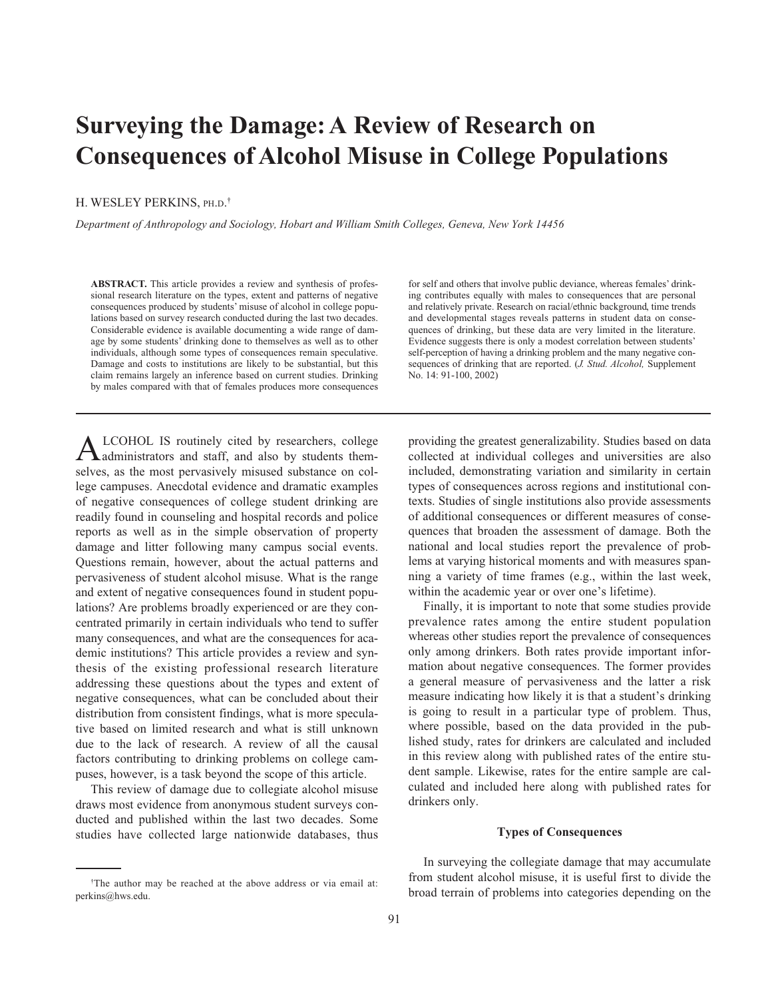# **Surveying the Damage: A Review of Research on Consequences of Alcohol Misuse in College Populations**

### H. WESLEY PERKINS, PH.D. †

*Department of Anthropology and Sociology, Hobart and William Smith Colleges, Geneva, New York 14456* 

**ABSTRACT.** This article provides a review and synthesis of professional research literature on the types, extent and patterns of negative consequences produced by students' misuse of alcohol in college populations based on survey research conducted during the last two decades. Considerable evidence is available documenting a wide range of damage by some students' drinking done to themselves as well as to other individuals, although some types of consequences remain speculative. Damage and costs to institutions are likely to be substantial, but this claim remains largely an inference based on current studies. Drinking by males compared with that of females produces more consequences

ALCOHOL IS routinely cited by researchers, college administrators and staff, and also by students themselves, as the most pervasively misused substance on college campuses. Anecdotal evidence and dramatic examples of negative consequences of college student drinking are readily found in counseling and hospital records and police reports as well as in the simple observation of property damage and litter following many campus social events. Questions remain, however, about the actual patterns and pervasiveness of student alcohol misuse. What is the range and extent of negative consequences found in student populations? Are problems broadly experienced or are they concentrated primarily in certain individuals who tend to suffer many consequences, and what are the consequences for academic institutions? This article provides a review and synthesis of the existing professional research literature addressing these questions about the types and extent of negative consequences, what can be concluded about their distribution from consistent findings, what is more speculative based on limited research and what is still unknown due to the lack of research. A review of all the causal factors contributing to drinking problems on college campuses, however, is a task beyond the scope of this article.

This review of damage due to collegiate alcohol misuse draws most evidence from anonymous student surveys conducted and published within the last two decades. Some studies have collected large nationwide databases, thus

† The author may be reached at the above address or via email at: perkins@hws.edu.

for self and others that involve public deviance, whereas females' drinking contributes equally with males to consequences that are personal and relatively private. Research on racial/ethnic background, time trends and developmental stages reveals patterns in student data on consequences of drinking, but these data are very limited in the literature. Evidence suggests there is only a modest correlation between students' self-perception of having a drinking problem and the many negative consequences of drinking that are reported. (*J. Stud. Alcohol,* Supplement No. 14: 91-100, 2002)

providing the greatest generalizability. Studies based on data collected at individual colleges and universities are also included, demonstrating variation and similarity in certain types of consequences across regions and institutional contexts. Studies of single institutions also provide assessments of additional consequences or different measures of consequences that broaden the assessment of damage. Both the national and local studies report the prevalence of problems at varying historical moments and with measures spanning a variety of time frames (e.g., within the last week, within the academic year or over one's lifetime).

Finally, it is important to note that some studies provide prevalence rates among the entire student population whereas other studies report the prevalence of consequences only among drinkers. Both rates provide important information about negative consequences. The former provides a general measure of pervasiveness and the latter a risk measure indicating how likely it is that a student's drinking is going to result in a particular type of problem. Thus, where possible, based on the data provided in the published study, rates for drinkers are calculated and included in this review along with published rates of the entire student sample. Likewise, rates for the entire sample are calculated and included here along with published rates for drinkers only.

# **Types of Consequences**

In surveying the collegiate damage that may accumulate from student alcohol misuse, it is useful first to divide the broad terrain of problems into categories depending on the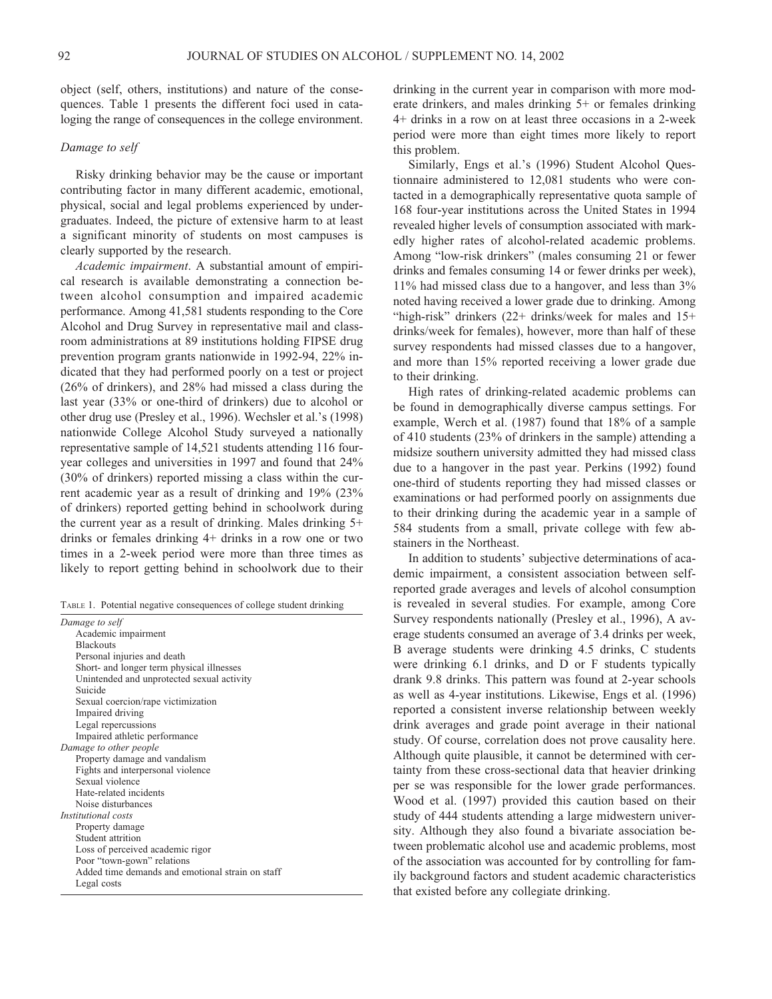object (self, others, institutions) and nature of the consequences. Table 1 presents the different foci used in cataloging the range of consequences in the college environment.

# *Damage to self*

Risky drinking behavior may be the cause or important contributing factor in many different academic, emotional, physical, social and legal problems experienced by undergraduates. Indeed, the picture of extensive harm to at least a significant minority of students on most campuses is clearly supported by the research.

*Academic impairment*. A substantial amount of empirical research is available demonstrating a connection between alcohol consumption and impaired academic performance. Among 41,581 students responding to the Core Alcohol and Drug Survey in representative mail and classroom administrations at 89 institutions holding FIPSE drug prevention program grants nationwide in 1992-94, 22% indicated that they had performed poorly on a test or project (26% of drinkers), and 28% had missed a class during the last year (33% or one-third of drinkers) due to alcohol or other drug use (Presley et al., 1996). Wechsler et al.'s (1998) nationwide College Alcohol Study surveyed a nationally representative sample of 14,521 students attending 116 fouryear colleges and universities in 1997 and found that 24% (30% of drinkers) reported missing a class within the current academic year as a result of drinking and 19% (23% of drinkers) reported getting behind in schoolwork during the current year as a result of drinking. Males drinking 5+ drinks or females drinking 4+ drinks in a row one or two times in a 2-week period were more than three times as likely to report getting behind in schoolwork due to their

TABLE 1. Potential negative consequences of college student drinking

| Damage to self                                   |
|--------------------------------------------------|
| Academic impairment                              |
| <b>Blackouts</b>                                 |
| Personal injuries and death                      |
| Short- and longer term physical illnesses        |
| Unintended and unprotected sexual activity       |
| Suicide                                          |
| Sexual coercion/rape victimization               |
| Impaired driving                                 |
| Legal repercussions                              |
| Impaired athletic performance                    |
| Damage to other people                           |
| Property damage and vandalism                    |
| Fights and interpersonal violence                |
| Sexual violence                                  |
| Hate-related incidents                           |
| Noise disturbances                               |
| <i>Institutional costs</i>                       |
| Property damage                                  |
| Student attrition                                |
| Loss of perceived academic rigor                 |
| Poor "town-gown" relations                       |
| Added time demands and emotional strain on staff |
| Legal costs                                      |

drinking in the current year in comparison with more moderate drinkers, and males drinking 5+ or females drinking 4+ drinks in a row on at least three occasions in a 2-week period were more than eight times more likely to report this problem.

Similarly, Engs et al.'s (1996) Student Alcohol Questionnaire administered to 12,081 students who were contacted in a demographically representative quota sample of 168 four-year institutions across the United States in 1994 revealed higher levels of consumption associated with markedly higher rates of alcohol-related academic problems. Among "low-risk drinkers" (males consuming 21 or fewer drinks and females consuming 14 or fewer drinks per week), 11% had missed class due to a hangover, and less than 3% noted having received a lower grade due to drinking. Among "high-risk" drinkers (22+ drinks/week for males and 15+ drinks/week for females), however, more than half of these survey respondents had missed classes due to a hangover, and more than 15% reported receiving a lower grade due to their drinking.

High rates of drinking-related academic problems can be found in demographically diverse campus settings. For example, Werch et al. (1987) found that 18% of a sample of 410 students (23% of drinkers in the sample) attending a midsize southern university admitted they had missed class due to a hangover in the past year. Perkins (1992) found one-third of students reporting they had missed classes or examinations or had performed poorly on assignments due to their drinking during the academic year in a sample of 584 students from a small, private college with few abstainers in the Northeast.

In addition to students' subjective determinations of academic impairment, a consistent association between selfreported grade averages and levels of alcohol consumption is revealed in several studies. For example, among Core Survey respondents nationally (Presley et al., 1996), A average students consumed an average of 3.4 drinks per week, B average students were drinking 4.5 drinks, C students were drinking 6.1 drinks, and D or F students typically drank 9.8 drinks. This pattern was found at 2-year schools as well as 4-year institutions. Likewise, Engs et al. (1996) reported a consistent inverse relationship between weekly drink averages and grade point average in their national study. Of course, correlation does not prove causality here. Although quite plausible, it cannot be determined with certainty from these cross-sectional data that heavier drinking per se was responsible for the lower grade performances. Wood et al. (1997) provided this caution based on their study of 444 students attending a large midwestern university. Although they also found a bivariate association between problematic alcohol use and academic problems, most of the association was accounted for by controlling for family background factors and student academic characteristics that existed before any collegiate drinking.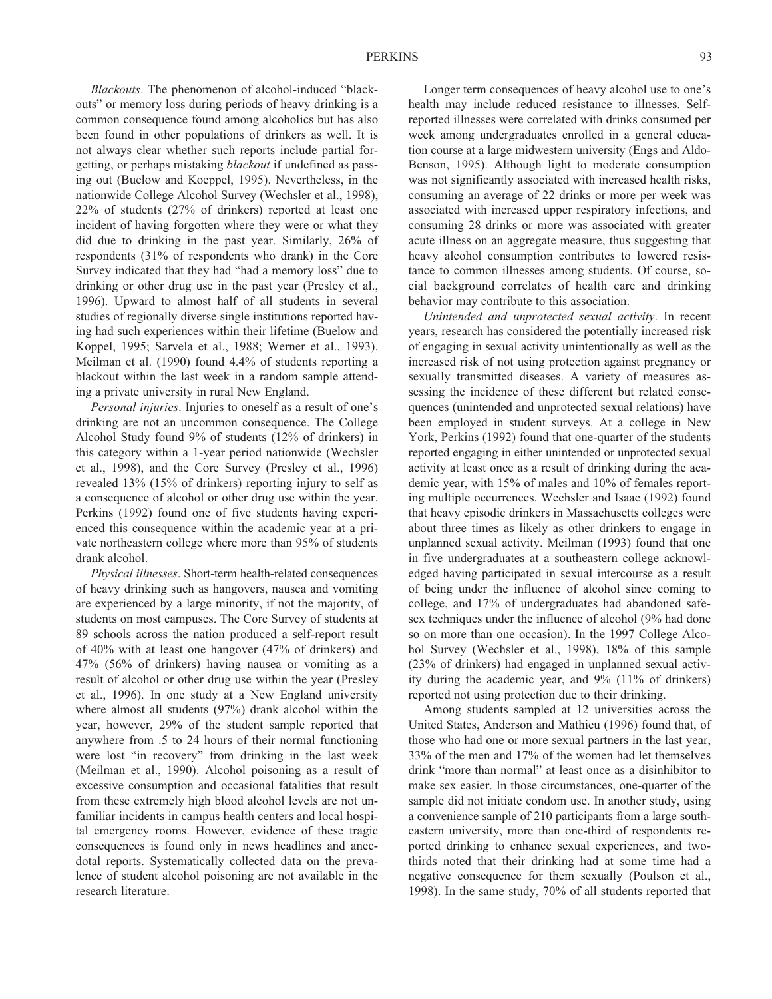*Blackouts*. The phenomenon of alcohol-induced "blackouts" or memory loss during periods of heavy drinking is a common consequence found among alcoholics but has also been found in other populations of drinkers as well. It is not always clear whether such reports include partial forgetting, or perhaps mistaking *blackout* if undefined as passing out (Buelow and Koeppel, 1995). Nevertheless, in the nationwide College Alcohol Survey (Wechsler et al., 1998), 22% of students (27% of drinkers) reported at least one incident of having forgotten where they were or what they did due to drinking in the past year. Similarly, 26% of respondents (31% of respondents who drank) in the Core Survey indicated that they had "had a memory loss" due to drinking or other drug use in the past year (Presley et al., 1996). Upward to almost half of all students in several studies of regionally diverse single institutions reported having had such experiences within their lifetime (Buelow and Koppel, 1995; Sarvela et al., 1988; Werner et al., 1993). Meilman et al. (1990) found 4.4% of students reporting a blackout within the last week in a random sample attending a private university in rural New England.

*Personal injuries*. Injuries to oneself as a result of one's drinking are not an uncommon consequence. The College Alcohol Study found 9% of students (12% of drinkers) in this category within a 1-year period nationwide (Wechsler et al., 1998), and the Core Survey (Presley et al., 1996) revealed 13% (15% of drinkers) reporting injury to self as a consequence of alcohol or other drug use within the year. Perkins (1992) found one of five students having experienced this consequence within the academic year at a private northeastern college where more than 95% of students drank alcohol.

*Physical illnesses*. Short-term health-related consequences of heavy drinking such as hangovers, nausea and vomiting are experienced by a large minority, if not the majority, of students on most campuses. The Core Survey of students at 89 schools across the nation produced a self-report result of 40% with at least one hangover (47% of drinkers) and 47% (56% of drinkers) having nausea or vomiting as a result of alcohol or other drug use within the year (Presley et al., 1996). In one study at a New England university where almost all students (97%) drank alcohol within the year, however, 29% of the student sample reported that anywhere from .5 to 24 hours of their normal functioning were lost "in recovery" from drinking in the last week (Meilman et al., 1990). Alcohol poisoning as a result of excessive consumption and occasional fatalities that result from these extremely high blood alcohol levels are not unfamiliar incidents in campus health centers and local hospital emergency rooms. However, evidence of these tragic consequences is found only in news headlines and anecdotal reports. Systematically collected data on the prevalence of student alcohol poisoning are not available in the research literature.

Longer term consequences of heavy alcohol use to one's health may include reduced resistance to illnesses. Selfreported illnesses were correlated with drinks consumed per week among undergraduates enrolled in a general education course at a large midwestern university (Engs and Aldo-Benson, 1995). Although light to moderate consumption was not significantly associated with increased health risks, consuming an average of 22 drinks or more per week was associated with increased upper respiratory infections, and consuming 28 drinks or more was associated with greater acute illness on an aggregate measure, thus suggesting that heavy alcohol consumption contributes to lowered resistance to common illnesses among students. Of course, social background correlates of health care and drinking behavior may contribute to this association.

*Unintended and unprotected sexual activity*. In recent years, research has considered the potentially increased risk of engaging in sexual activity unintentionally as well as the increased risk of not using protection against pregnancy or sexually transmitted diseases. A variety of measures assessing the incidence of these different but related consequences (unintended and unprotected sexual relations) have been employed in student surveys. At a college in New York, Perkins (1992) found that one-quarter of the students reported engaging in either unintended or unprotected sexual activity at least once as a result of drinking during the academic year, with 15% of males and 10% of females reporting multiple occurrences. Wechsler and Isaac (1992) found that heavy episodic drinkers in Massachusetts colleges were about three times as likely as other drinkers to engage in unplanned sexual activity. Meilman (1993) found that one in five undergraduates at a southeastern college acknowledged having participated in sexual intercourse as a result of being under the influence of alcohol since coming to college, and 17% of undergraduates had abandoned safesex techniques under the influence of alcohol (9% had done so on more than one occasion). In the 1997 College Alcohol Survey (Wechsler et al., 1998), 18% of this sample (23% of drinkers) had engaged in unplanned sexual activity during the academic year, and 9% (11% of drinkers) reported not using protection due to their drinking.

Among students sampled at 12 universities across the United States, Anderson and Mathieu (1996) found that, of those who had one or more sexual partners in the last year, 33% of the men and 17% of the women had let themselves drink "more than normal" at least once as a disinhibitor to make sex easier. In those circumstances, one-quarter of the sample did not initiate condom use. In another study, using a convenience sample of 210 participants from a large southeastern university, more than one-third of respondents reported drinking to enhance sexual experiences, and twothirds noted that their drinking had at some time had a negative consequence for them sexually (Poulson et al., 1998). In the same study, 70% of all students reported that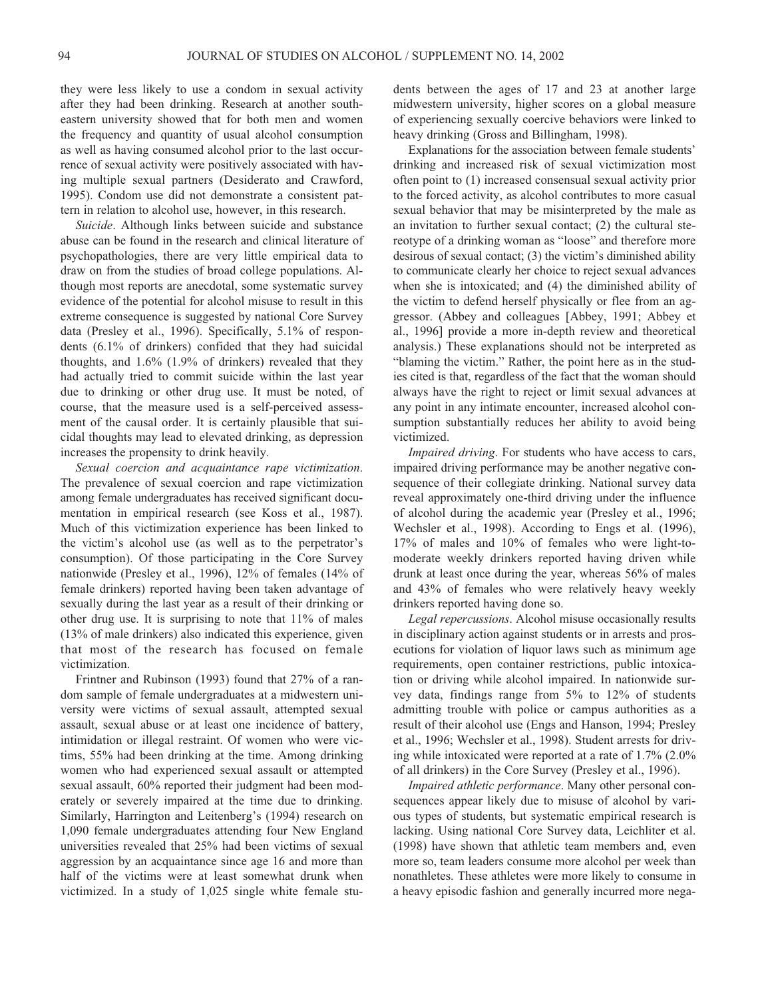they were less likely to use a condom in sexual activity after they had been drinking. Research at another southeastern university showed that for both men and women the frequency and quantity of usual alcohol consumption as well as having consumed alcohol prior to the last occurrence of sexual activity were positively associated with having multiple sexual partners (Desiderato and Crawford, 1995). Condom use did not demonstrate a consistent pattern in relation to alcohol use, however, in this research.

*Suicide*. Although links between suicide and substance abuse can be found in the research and clinical literature of psychopathologies, there are very little empirical data to draw on from the studies of broad college populations. Although most reports are anecdotal, some systematic survey evidence of the potential for alcohol misuse to result in this extreme consequence is suggested by national Core Survey data (Presley et al., 1996). Specifically, 5.1% of respondents (6.1% of drinkers) confided that they had suicidal thoughts, and 1.6% (1.9% of drinkers) revealed that they had actually tried to commit suicide within the last year due to drinking or other drug use. It must be noted, of course, that the measure used is a self-perceived assessment of the causal order. It is certainly plausible that suicidal thoughts may lead to elevated drinking, as depression increases the propensity to drink heavily.

*Sexual coercion and acquaintance rape victimization*. The prevalence of sexual coercion and rape victimization among female undergraduates has received significant documentation in empirical research (see Koss et al., 1987). Much of this victimization experience has been linked to the victim's alcohol use (as well as to the perpetrator's consumption). Of those participating in the Core Survey nationwide (Presley et al., 1996), 12% of females (14% of female drinkers) reported having been taken advantage of sexually during the last year as a result of their drinking or other drug use. It is surprising to note that 11% of males (13% of male drinkers) also indicated this experience, given that most of the research has focused on female victimization.

Frintner and Rubinson (1993) found that 27% of a random sample of female undergraduates at a midwestern university were victims of sexual assault, attempted sexual assault, sexual abuse or at least one incidence of battery, intimidation or illegal restraint. Of women who were victims, 55% had been drinking at the time. Among drinking women who had experienced sexual assault or attempted sexual assault, 60% reported their judgment had been moderately or severely impaired at the time due to drinking. Similarly, Harrington and Leitenberg's (1994) research on 1,090 female undergraduates attending four New England universities revealed that 25% had been victims of sexual aggression by an acquaintance since age 16 and more than half of the victims were at least somewhat drunk when victimized. In a study of 1,025 single white female students between the ages of 17 and 23 at another large midwestern university, higher scores on a global measure of experiencing sexually coercive behaviors were linked to heavy drinking (Gross and Billingham, 1998).

Explanations for the association between female students' drinking and increased risk of sexual victimization most often point to (1) increased consensual sexual activity prior to the forced activity, as alcohol contributes to more casual sexual behavior that may be misinterpreted by the male as an invitation to further sexual contact; (2) the cultural stereotype of a drinking woman as "loose" and therefore more desirous of sexual contact; (3) the victim's diminished ability to communicate clearly her choice to reject sexual advances when she is intoxicated; and (4) the diminished ability of the victim to defend herself physically or flee from an aggressor. (Abbey and colleagues [Abbey, 1991; Abbey et al., 1996] provide a more in-depth review and theoretical analysis.) These explanations should not be interpreted as "blaming the victim." Rather, the point here as in the studies cited is that, regardless of the fact that the woman should always have the right to reject or limit sexual advances at any point in any intimate encounter, increased alcohol consumption substantially reduces her ability to avoid being victimized.

*Impaired driving*. For students who have access to cars, impaired driving performance may be another negative consequence of their collegiate drinking. National survey data reveal approximately one-third driving under the influence of alcohol during the academic year (Presley et al., 1996; Wechsler et al., 1998). According to Engs et al. (1996), 17% of males and 10% of females who were light-tomoderate weekly drinkers reported having driven while drunk at least once during the year, whereas 56% of males and 43% of females who were relatively heavy weekly drinkers reported having done so.

*Legal repercussions*. Alcohol misuse occasionally results in disciplinary action against students or in arrests and prosecutions for violation of liquor laws such as minimum age requirements, open container restrictions, public intoxication or driving while alcohol impaired. In nationwide survey data, findings range from 5% to 12% of students admitting trouble with police or campus authorities as a result of their alcohol use (Engs and Hanson, 1994; Presley et al., 1996; Wechsler et al., 1998). Student arrests for driving while intoxicated were reported at a rate of 1.7% (2.0% of all drinkers) in the Core Survey (Presley et al., 1996).

*Impaired athletic performance*. Many other personal consequences appear likely due to misuse of alcohol by various types of students, but systematic empirical research is lacking. Using national Core Survey data, Leichliter et al. (1998) have shown that athletic team members and, even more so, team leaders consume more alcohol per week than nonathletes. These athletes were more likely to consume in a heavy episodic fashion and generally incurred more nega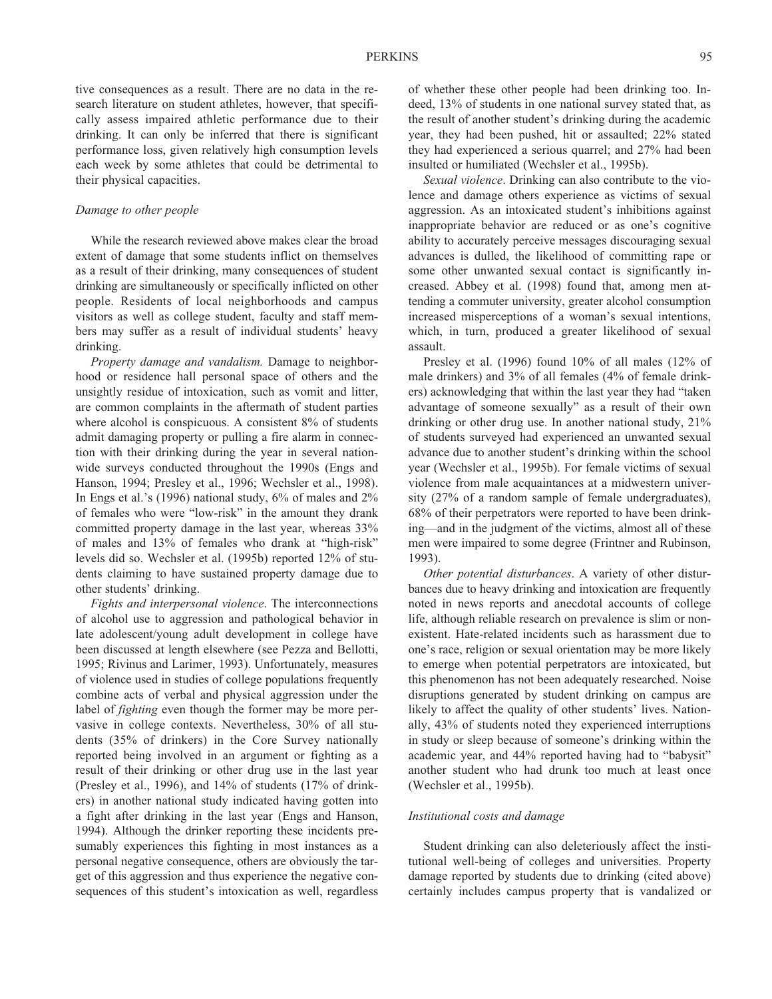tive consequences as a result. There are no data in the research literature on student athletes, however, that specifically assess impaired athletic performance due to their drinking. It can only be inferred that there is significant performance loss, given relatively high consumption levels each week by some athletes that could be detrimental to their physical capacities.

#### *Damage to other people*

While the research reviewed above makes clear the broad extent of damage that some students inflict on themselves as a result of their drinking, many consequences of student drinking are simultaneously or specifically inflicted on other people. Residents of local neighborhoods and campus visitors as well as college student, faculty and staff members may suffer as a result of individual students' heavy drinking.

*Property damage and vandalism.* Damage to neighborhood or residence hall personal space of others and the unsightly residue of intoxication, such as vomit and litter, are common complaints in the aftermath of student parties where alcohol is conspicuous. A consistent 8% of students admit damaging property or pulling a fire alarm in connection with their drinking during the year in several nationwide surveys conducted throughout the 1990s (Engs and Hanson, 1994; Presley et al., 1996; Wechsler et al., 1998). In Engs et al.'s (1996) national study, 6% of males and 2% of females who were "low-risk" in the amount they drank committed property damage in the last year, whereas 33% of males and 13% of females who drank at "high-risk" levels did so. Wechsler et al. (1995b) reported 12% of students claiming to have sustained property damage due to other students' drinking.

*Fights and interpersonal violence*. The interconnections of alcohol use to aggression and pathological behavior in late adolescent/young adult development in college have been discussed at length elsewhere (see Pezza and Bellotti, 1995; Rivinus and Larimer, 1993). Unfortunately, measures of violence used in studies of college populations frequently combine acts of verbal and physical aggression under the label of *fighting* even though the former may be more pervasive in college contexts. Nevertheless, 30% of all students (35% of drinkers) in the Core Survey nationally reported being involved in an argument or fighting as a result of their drinking or other drug use in the last year (Presley et al., 1996), and 14% of students (17% of drinkers) in another national study indicated having gotten into a fight after drinking in the last year (Engs and Hanson, 1994). Although the drinker reporting these incidents presumably experiences this fighting in most instances as a personal negative consequence, others are obviously the target of this aggression and thus experience the negative consequences of this student's intoxication as well, regardless of whether these other people had been drinking too. Indeed, 13% of students in one national survey stated that, as the result of another student's drinking during the academic year, they had been pushed, hit or assaulted; 22% stated they had experienced a serious quarrel; and 27% had been insulted or humiliated (Wechsler et al., 1995b).

*Sexual violence*. Drinking can also contribute to the violence and damage others experience as victims of sexual aggression. As an intoxicated student's inhibitions against inappropriate behavior are reduced or as one's cognitive ability to accurately perceive messages discouraging sexual advances is dulled, the likelihood of committing rape or some other unwanted sexual contact is significantly increased. Abbey et al. (1998) found that, among men attending a commuter university, greater alcohol consumption increased misperceptions of a woman's sexual intentions, which, in turn, produced a greater likelihood of sexual assault.

Presley et al. (1996) found 10% of all males (12% of male drinkers) and 3% of all females (4% of female drinkers) acknowledging that within the last year they had "taken advantage of someone sexually" as a result of their own drinking or other drug use. In another national study, 21% of students surveyed had experienced an unwanted sexual advance due to another student's drinking within the school year (Wechsler et al., 1995b). For female victims of sexual violence from male acquaintances at a midwestern university (27% of a random sample of female undergraduates), 68% of their perpetrators were reported to have been drinking—and in the judgment of the victims, almost all of these men were impaired to some degree (Frintner and Rubinson, 1993).

*Other potential disturbances*. A variety of other disturbances due to heavy drinking and intoxication are frequently noted in news reports and anecdotal accounts of college life, although reliable research on prevalence is slim or nonexistent. Hate-related incidents such as harassment due to one's race, religion or sexual orientation may be more likely to emerge when potential perpetrators are intoxicated, but this phenomenon has not been adequately researched. Noise disruptions generated by student drinking on campus are likely to affect the quality of other students' lives. Nationally, 43% of students noted they experienced interruptions in study or sleep because of someone's drinking within the academic year, and 44% reported having had to "babysit" another student who had drunk too much at least once (Wechsler et al., 1995b).

#### *Institutional costs and damage*

Student drinking can also deleteriously affect the institutional well-being of colleges and universities. Property damage reported by students due to drinking (cited above) certainly includes campus property that is vandalized or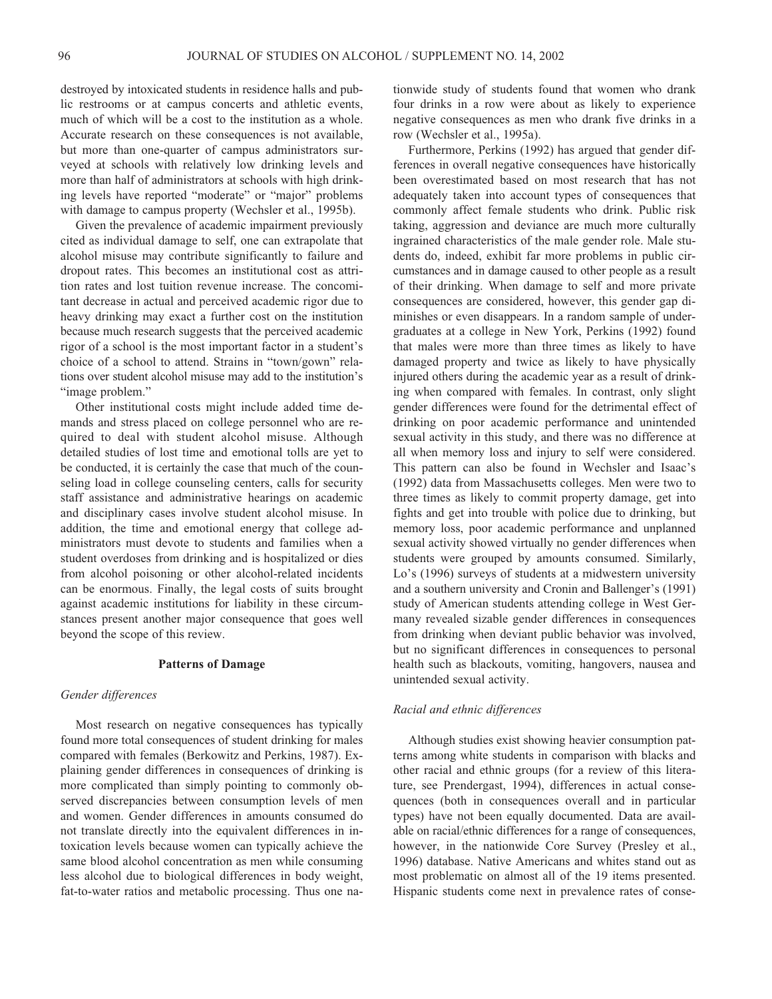destroyed by intoxicated students in residence halls and public restrooms or at campus concerts and athletic events, much of which will be a cost to the institution as a whole. Accurate research on these consequences is not available, but more than one-quarter of campus administrators surveyed at schools with relatively low drinking levels and more than half of administrators at schools with high drinking levels have reported "moderate" or "major" problems with damage to campus property (Wechsler et al., 1995b).

Given the prevalence of academic impairment previously cited as individual damage to self, one can extrapolate that alcohol misuse may contribute significantly to failure and dropout rates. This becomes an institutional cost as attrition rates and lost tuition revenue increase. The concomitant decrease in actual and perceived academic rigor due to heavy drinking may exact a further cost on the institution because much research suggests that the perceived academic rigor of a school is the most important factor in a student's choice of a school to attend. Strains in "town/gown" relations over student alcohol misuse may add to the institution's "image problem."

Other institutional costs might include added time demands and stress placed on college personnel who are required to deal with student alcohol misuse. Although detailed studies of lost time and emotional tolls are yet to be conducted, it is certainly the case that much of the counseling load in college counseling centers, calls for security staff assistance and administrative hearings on academic and disciplinary cases involve student alcohol misuse. In addition, the time and emotional energy that college administrators must devote to students and families when a student overdoses from drinking and is hospitalized or dies from alcohol poisoning or other alcohol-related incidents can be enormous. Finally, the legal costs of suits brought against academic institutions for liability in these circumstances present another major consequence that goes well beyond the scope of this review.

#### **Patterns of Damage**

# *Gender differences*

Most research on negative consequences has typically found more total consequences of student drinking for males compared with females (Berkowitz and Perkins, 1987). Explaining gender differences in consequences of drinking is more complicated than simply pointing to commonly observed discrepancies between consumption levels of men and women. Gender differences in amounts consumed do not translate directly into the equivalent differences in intoxication levels because women can typically achieve the same blood alcohol concentration as men while consuming less alcohol due to biological differences in body weight, fat-to-water ratios and metabolic processing. Thus one na-

tionwide study of students found that women who drank four drinks in a row were about as likely to experience negative consequences as men who drank five drinks in a row (Wechsler et al., 1995a).

Furthermore, Perkins (1992) has argued that gender differences in overall negative consequences have historically been overestimated based on most research that has not adequately taken into account types of consequences that commonly affect female students who drink. Public risk taking, aggression and deviance are much more culturally ingrained characteristics of the male gender role. Male students do, indeed, exhibit far more problems in public circumstances and in damage caused to other people as a result of their drinking. When damage to self and more private consequences are considered, however, this gender gap diminishes or even disappears. In a random sample of undergraduates at a college in New York, Perkins (1992) found that males were more than three times as likely to have damaged property and twice as likely to have physically injured others during the academic year as a result of drinking when compared with females. In contrast, only slight gender differences were found for the detrimental effect of drinking on poor academic performance and unintended sexual activity in this study, and there was no difference at all when memory loss and injury to self were considered. This pattern can also be found in Wechsler and Isaac's (1992) data from Massachusetts colleges. Men were two to three times as likely to commit property damage, get into fights and get into trouble with police due to drinking, but memory loss, poor academic performance and unplanned sexual activity showed virtually no gender differences when students were grouped by amounts consumed. Similarly, Lo's (1996) surveys of students at a midwestern university and a southern university and Cronin and Ballenger's (1991) study of American students attending college in West Germany revealed sizable gender differences in consequences from drinking when deviant public behavior was involved, but no significant differences in consequences to personal health such as blackouts, vomiting, hangovers, nausea and unintended sexual activity.

#### *Racial and ethnic differences*

Although studies exist showing heavier consumption patterns among white students in comparison with blacks and other racial and ethnic groups (for a review of this literature, see Prendergast, 1994), differences in actual consequences (both in consequences overall and in particular types) have not been equally documented. Data are available on racial/ethnic differences for a range of consequences, however, in the nationwide Core Survey (Presley et al., 1996) database. Native Americans and whites stand out as most problematic on almost all of the 19 items presented. Hispanic students come next in prevalence rates of conse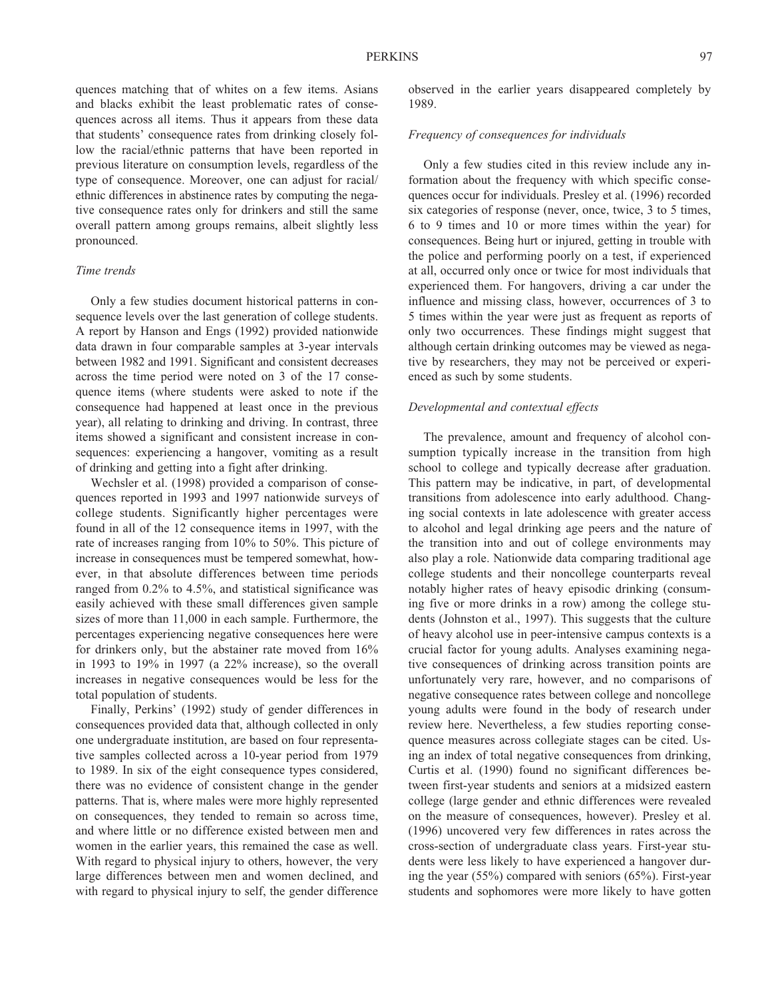quences matching that of whites on a few items. Asians and blacks exhibit the least problematic rates of consequences across all items. Thus it appears from these data that students' consequence rates from drinking closely follow the racial/ethnic patterns that have been reported in previous literature on consumption levels, regardless of the type of consequence. Moreover, one can adjust for racial/ ethnic differences in abstinence rates by computing the negative consequence rates only for drinkers and still the same overall pattern among groups remains, albeit slightly less pronounced.

# *Time trends*

Only a few studies document historical patterns in consequence levels over the last generation of college students. A report by Hanson and Engs (1992) provided nationwide data drawn in four comparable samples at 3-year intervals between 1982 and 1991. Significant and consistent decreases across the time period were noted on 3 of the 17 consequence items (where students were asked to note if the consequence had happened at least once in the previous year), all relating to drinking and driving. In contrast, three items showed a significant and consistent increase in consequences: experiencing a hangover, vomiting as a result of drinking and getting into a fight after drinking.

Wechsler et al. (1998) provided a comparison of consequences reported in 1993 and 1997 nationwide surveys of college students. Significantly higher percentages were found in all of the 12 consequence items in 1997, with the rate of increases ranging from 10% to 50%. This picture of increase in consequences must be tempered somewhat, however, in that absolute differences between time periods ranged from 0.2% to 4.5%, and statistical significance was easily achieved with these small differences given sample sizes of more than 11,000 in each sample. Furthermore, the percentages experiencing negative consequences here were for drinkers only, but the abstainer rate moved from 16% in 1993 to 19% in 1997 (a 22% increase), so the overall increases in negative consequences would be less for the total population of students.

Finally, Perkins' (1992) study of gender differences in consequences provided data that, although collected in only one undergraduate institution, are based on four representative samples collected across a 10-year period from 1979 to 1989. In six of the eight consequence types considered, there was no evidence of consistent change in the gender patterns. That is, where males were more highly represented on consequences, they tended to remain so across time, and where little or no difference existed between men and women in the earlier years, this remained the case as well. With regard to physical injury to others, however, the very large differences between men and women declined, and with regard to physical injury to self, the gender difference

observed in the earlier years disappeared completely by 1989.

#### *Frequency of consequences for individuals*

Only a few studies cited in this review include any information about the frequency with which specific consequences occur for individuals. Presley et al. (1996) recorded six categories of response (never, once, twice, 3 to 5 times, 6 to 9 times and 10 or more times within the year) for consequences. Being hurt or injured, getting in trouble with the police and performing poorly on a test, if experienced at all, occurred only once or twice for most individuals that experienced them. For hangovers, driving a car under the influence and missing class, however, occurrences of 3 to 5 times within the year were just as frequent as reports of only two occurrences. These findings might suggest that although certain drinking outcomes may be viewed as negative by researchers, they may not be perceived or experienced as such by some students.

#### *Developmental and contextual effects*

The prevalence, amount and frequency of alcohol consumption typically increase in the transition from high school to college and typically decrease after graduation. This pattern may be indicative, in part, of developmental transitions from adolescence into early adulthood. Changing social contexts in late adolescence with greater access to alcohol and legal drinking age peers and the nature of the transition into and out of college environments may also play a role. Nationwide data comparing traditional age college students and their noncollege counterparts reveal notably higher rates of heavy episodic drinking (consuming five or more drinks in a row) among the college students (Johnston et al., 1997). This suggests that the culture of heavy alcohol use in peer-intensive campus contexts is a crucial factor for young adults. Analyses examining negative consequences of drinking across transition points are unfortunately very rare, however, and no comparisons of negative consequence rates between college and noncollege young adults were found in the body of research under review here. Nevertheless, a few studies reporting consequence measures across collegiate stages can be cited. Using an index of total negative consequences from drinking, Curtis et al. (1990) found no significant differences between first-year students and seniors at a midsized eastern college (large gender and ethnic differences were revealed on the measure of consequences, however). Presley et al. (1996) uncovered very few differences in rates across the cross-section of undergraduate class years. First-year students were less likely to have experienced a hangover during the year (55%) compared with seniors (65%). First-year students and sophomores were more likely to have gotten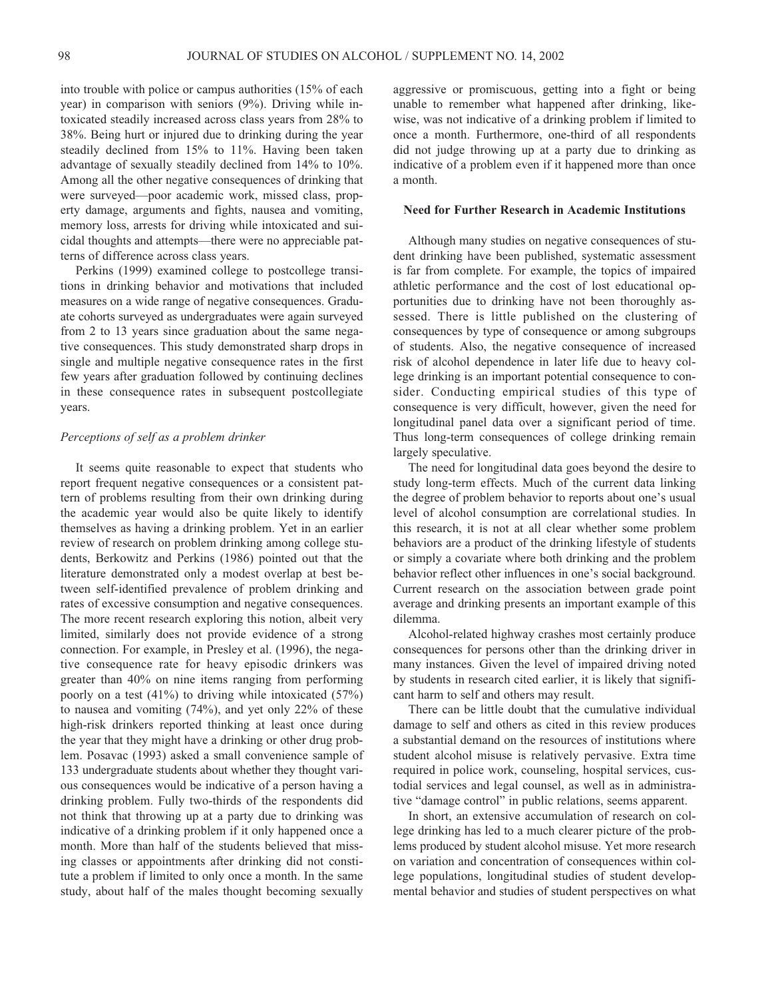into trouble with police or campus authorities (15% of each year) in comparison with seniors (9%). Driving while intoxicated steadily increased across class years from 28% to 38%. Being hurt or injured due to drinking during the year steadily declined from 15% to 11%. Having been taken advantage of sexually steadily declined from 14% to 10%. Among all the other negative consequences of drinking that were surveyed—poor academic work, missed class, property damage, arguments and fights, nausea and vomiting, memory loss, arrests for driving while intoxicated and suicidal thoughts and attempts—there were no appreciable patterns of difference across class years.

Perkins (1999) examined college to postcollege transitions in drinking behavior and motivations that included measures on a wide range of negative consequences. Graduate cohorts surveyed as undergraduates were again surveyed from 2 to 13 years since graduation about the same negative consequences. This study demonstrated sharp drops in single and multiple negative consequence rates in the first few years after graduation followed by continuing declines in these consequence rates in subsequent postcollegiate years.

### *Perceptions of self as a problem drinker*

It seems quite reasonable to expect that students who report frequent negative consequences or a consistent pattern of problems resulting from their own drinking during the academic year would also be quite likely to identify themselves as having a drinking problem. Yet in an earlier review of research on problem drinking among college students, Berkowitz and Perkins (1986) pointed out that the literature demonstrated only a modest overlap at best between self-identified prevalence of problem drinking and rates of excessive consumption and negative consequences. The more recent research exploring this notion, albeit very limited, similarly does not provide evidence of a strong connection. For example, in Presley et al. (1996), the negative consequence rate for heavy episodic drinkers was greater than 40% on nine items ranging from performing poorly on a test (41%) to driving while intoxicated (57%) to nausea and vomiting (74%), and yet only 22% of these high-risk drinkers reported thinking at least once during the year that they might have a drinking or other drug problem. Posavac (1993) asked a small convenience sample of 133 undergraduate students about whether they thought various consequences would be indicative of a person having a drinking problem. Fully two-thirds of the respondents did not think that throwing up at a party due to drinking was indicative of a drinking problem if it only happened once a month. More than half of the students believed that missing classes or appointments after drinking did not constitute a problem if limited to only once a month. In the same study, about half of the males thought becoming sexually aggressive or promiscuous, getting into a fight or being unable to remember what happened after drinking, likewise, was not indicative of a drinking problem if limited to once a month. Furthermore, one-third of all respondents did not judge throwing up at a party due to drinking as indicative of a problem even if it happened more than once a month.

#### **Need for Further Research in Academic Institutions**

Although many studies on negative consequences of student drinking have been published, systematic assessment is far from complete. For example, the topics of impaired athletic performance and the cost of lost educational opportunities due to drinking have not been thoroughly assessed. There is little published on the clustering of consequences by type of consequence or among subgroups of students. Also, the negative consequence of increased risk of alcohol dependence in later life due to heavy college drinking is an important potential consequence to consider. Conducting empirical studies of this type of consequence is very difficult, however, given the need for longitudinal panel data over a significant period of time. Thus long-term consequences of college drinking remain largely speculative.

The need for longitudinal data goes beyond the desire to study long-term effects. Much of the current data linking the degree of problem behavior to reports about one's usual level of alcohol consumption are correlational studies. In this research, it is not at all clear whether some problem behaviors are a product of the drinking lifestyle of students or simply a covariate where both drinking and the problem behavior reflect other influences in one's social background. Current research on the association between grade point average and drinking presents an important example of this dilemma.

Alcohol-related highway crashes most certainly produce consequences for persons other than the drinking driver in many instances. Given the level of impaired driving noted by students in research cited earlier, it is likely that significant harm to self and others may result.

There can be little doubt that the cumulative individual damage to self and others as cited in this review produces a substantial demand on the resources of institutions where student alcohol misuse is relatively pervasive. Extra time required in police work, counseling, hospital services, custodial services and legal counsel, as well as in administrative "damage control" in public relations, seems apparent.

In short, an extensive accumulation of research on college drinking has led to a much clearer picture of the problems produced by student alcohol misuse. Yet more research on variation and concentration of consequences within college populations, longitudinal studies of student developmental behavior and studies of student perspectives on what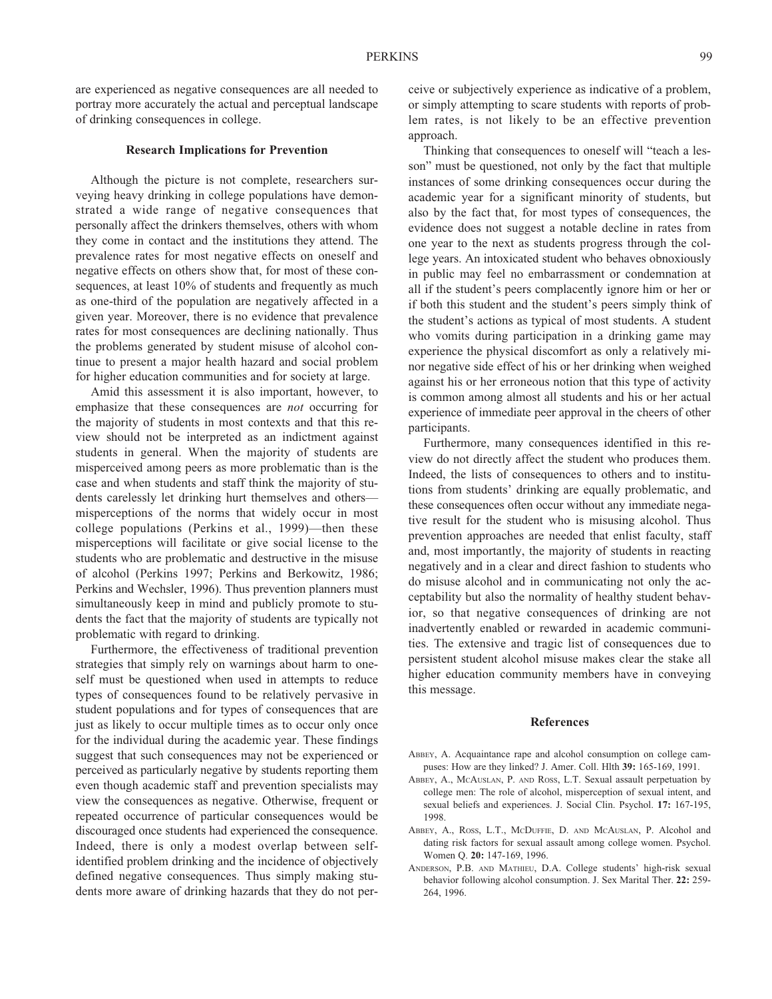are experienced as negative consequences are all needed to portray more accurately the actual and perceptual landscape of drinking consequences in college.

#### **Research Implications for Prevention**

Although the picture is not complete, researchers surveying heavy drinking in college populations have demonstrated a wide range of negative consequences that personally affect the drinkers themselves, others with whom they come in contact and the institutions they attend. The prevalence rates for most negative effects on oneself and negative effects on others show that, for most of these consequences, at least 10% of students and frequently as much as one-third of the population are negatively affected in a given year. Moreover, there is no evidence that prevalence rates for most consequences are declining nationally. Thus the problems generated by student misuse of alcohol continue to present a major health hazard and social problem for higher education communities and for society at large.

Amid this assessment it is also important, however, to emphasize that these consequences are *not* occurring for the majority of students in most contexts and that this review should not be interpreted as an indictment against students in general. When the majority of students are misperceived among peers as more problematic than is the case and when students and staff think the majority of students carelessly let drinking hurt themselves and others misperceptions of the norms that widely occur in most college populations (Perkins et al., 1999)—then these misperceptions will facilitate or give social license to the students who are problematic and destructive in the misuse of alcohol (Perkins 1997; Perkins and Berkowitz, 1986; Perkins and Wechsler, 1996). Thus prevention planners must simultaneously keep in mind and publicly promote to students the fact that the majority of students are typically not problematic with regard to drinking.

Furthermore, the effectiveness of traditional prevention strategies that simply rely on warnings about harm to oneself must be questioned when used in attempts to reduce types of consequences found to be relatively pervasive in student populations and for types of consequences that are just as likely to occur multiple times as to occur only once for the individual during the academic year. These findings suggest that such consequences may not be experienced or perceived as particularly negative by students reporting them even though academic staff and prevention specialists may view the consequences as negative. Otherwise, frequent or repeated occurrence of particular consequences would be discouraged once students had experienced the consequence. Indeed, there is only a modest overlap between selfidentified problem drinking and the incidence of objectively defined negative consequences. Thus simply making students more aware of drinking hazards that they do not perceive or subjectively experience as indicative of a problem, or simply attempting to scare students with reports of problem rates, is not likely to be an effective prevention approach.

Thinking that consequences to oneself will "teach a lesson" must be questioned, not only by the fact that multiple instances of some drinking consequences occur during the academic year for a significant minority of students, but also by the fact that, for most types of consequences, the evidence does not suggest a notable decline in rates from one year to the next as students progress through the college years. An intoxicated student who behaves obnoxiously in public may feel no embarrassment or condemnation at all if the student's peers complacently ignore him or her or if both this student and the student's peers simply think of the student's actions as typical of most students. A student who vomits during participation in a drinking game may experience the physical discomfort as only a relatively minor negative side effect of his or her drinking when weighed against his or her erroneous notion that this type of activity is common among almost all students and his or her actual experience of immediate peer approval in the cheers of other participants.

Furthermore, many consequences identified in this review do not directly affect the student who produces them. Indeed, the lists of consequences to others and to institutions from students' drinking are equally problematic, and these consequences often occur without any immediate negative result for the student who is misusing alcohol. Thus prevention approaches are needed that enlist faculty, staff and, most importantly, the majority of students in reacting negatively and in a clear and direct fashion to students who do misuse alcohol and in communicating not only the acceptability but also the normality of healthy student behavior, so that negative consequences of drinking are not inadvertently enabled or rewarded in academic communities. The extensive and tragic list of consequences due to persistent student alcohol misuse makes clear the stake all higher education community members have in conveying this message.

#### **References**

- ABBEY, A. Acquaintance rape and alcohol consumption on college campuses: How are they linked? J. Amer. Coll. Hlth **39:** 165-169, 1991.
- ABBEY, A., MCAUSLAN, P. AND ROSS, L.T. Sexual assault perpetuation by college men: The role of alcohol, misperception of sexual intent, and sexual beliefs and experiences. J. Social Clin. Psychol. **17:** 167-195, 1998.
- ABBEY, A., ROSS, L.T., MCDUFFIE, D. AND MCAUSLAN, P. Alcohol and dating risk factors for sexual assault among college women. Psychol. Women Q. **20:** 147-169, 1996.
- ANDERSON, P.B. AND MATHIEU, D.A. College students' high-risk sexual behavior following alcohol consumption. J. Sex Marital Ther. **22:** 259 264, 1996.